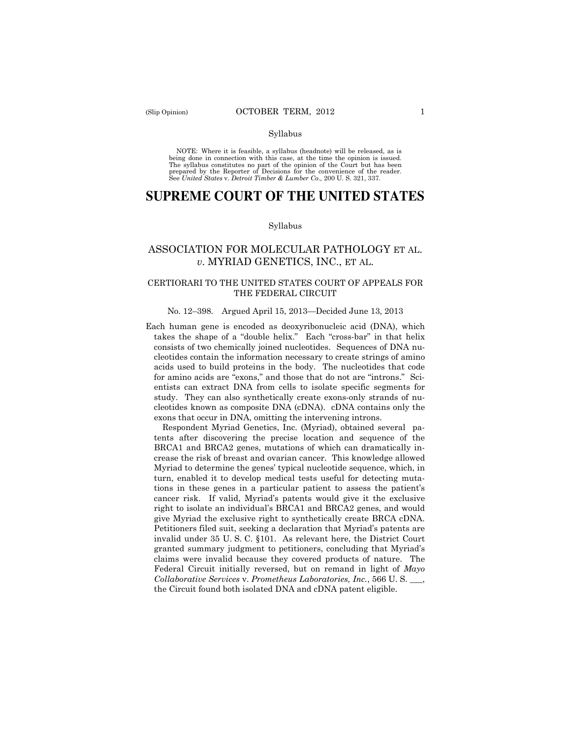#### Syllabus

 NOTE: Where it is feasible, a syllabus (headnote) will be released, as is being done in connection with this case, at the time the opinion is issued. The syllabus constitutes no part of the opinion of the Court but has been<br>prepared by the Reporter of Decisions for the convenience of the reader.<br>See United States v. Detroit Timber & Lumber Co., 200 U.S. 321, 337.

# **SUPREME COURT OF THE UNITED STATES**

#### Syllabus

## ASSOCIATION FOR MOLECULAR PATHOLOGY ET AL. *v*. MYRIAD GENETICS, INC., ET AL.

### CERTIORARI TO THE UNITED STATES COURT OF APPEALS FOR THE FEDERAL CIRCUIT

#### No. 12-398. Argued April 15, 2013-Decided June 13, 2013

Each human gene is encoded as deoxyribonucleic acid (DNA), which takes the shape of a "double helix." Each "cross-bar" in that helix consists of two chemically joined nucleotides. Sequences of DNA nucleotides contain the information necessary to create strings of amino acids used to build proteins in the body. The nucleotides that code for amino acids are "exons," and those that do not are "introns." Scientists can extract DNA from cells to isolate specific segments for study. They can also synthetically create exons-only strands of nucleotides known as composite DNA (cDNA). cDNA contains only the exons that occur in DNA, omitting the intervening introns.

Respondent Myriad Genetics, Inc. (Myriad), obtained several patents after discovering the precise location and sequence of the BRCA1 and BRCA2 genes, mutations of which can dramatically increase the risk of breast and ovarian cancer. This knowledge allowed Myriad to determine the genes' typical nucleotide sequence, which, in turn, enabled it to develop medical tests useful for detecting mutations in these genes in a particular patient to assess the patient's cancer risk. If valid, Myriad's patents would give it the exclusive right to isolate an individual's BRCA1 and BRCA2 genes, and would give Myriad the exclusive right to synthetically create BRCA cDNA. Petitioners filed suit, seeking a declaration that Myriad's patents are invalid under 35 U. S. C. §101. As relevant here, the District Court granted summary judgment to petitioners, concluding that Myriad's claims were invalid because they covered products of nature. The Federal Circuit initially reversed, but on remand in light of *Mayo Collaborative Services* v. *Prometheus Laboratories, Inc.*, 566 U. S. \_\_\_, the Circuit found both isolated DNA and cDNA patent eligible.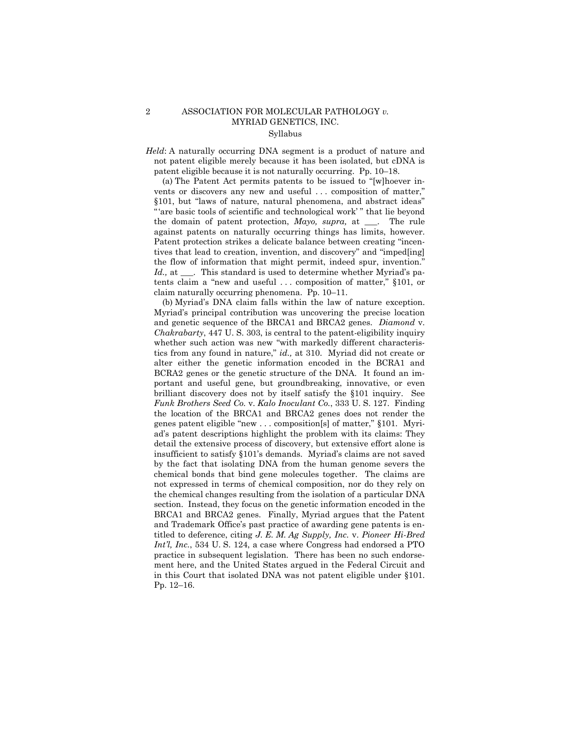### 2 ASSOCIATION FOR MOLECULAR PATHOLOGY *v.*  MYRIAD GENETICS, INC. Syllabus

*Held*: A naturally occurring DNA segment is a product of nature and not patent eligible merely because it has been isolated, but cDNA is patent eligible because it is not naturally occurring. Pp. 10–18.

(a) The Patent Act permits patents to be issued to "[w]hoever invents or discovers any new and useful ... composition of matter,"  $§101$ , but "laws of nature, natural phenomena, and abstract ideas" "'are basic tools of scientific and technological work'" that lie beyond the domain of patent protection, *Mayo, supra,* at \_\_\_. The rule against patents on naturally occurring things has limits, however. Patent protection strikes a delicate balance between creating "incentives that lead to creation, invention, and discovery" and "imped[ing] the flow of information that might permit, indeed spur, invention.' *Id.*, at \_\_\_. This standard is used to determine whether Myriad's patents claim a "new and useful  $\ldots$  composition of matter," §101, or claim naturally occurring phenomena. Pp. 10-11.

(b) Myriad's DNA claim falls within the law of nature exception. Myriad's principal contribution was uncovering the precise location and genetic sequence of the BRCA1 and BRCA2 genes. *Diamond* v. *Chakrabarty*, 447 U. S. 303, is central to the patent-eligibility inquiry whether such action was new "with markedly different characteristics from any found in nature,^ *id.,* at 310. Myriad did not create or alter either the genetic information encoded in the BCRA1 and BCRA2 genes or the genetic structure of the DNA. It found an important and useful gene, but groundbreaking, innovative, or even brilliant discovery does not by itself satisfy the §101 inquiry. See *Funk Brothers Seed Co.* v. *Kalo Inoculant Co.*, 333 U. S. 127. Finding the location of the BRCA1 and BRCA2 genes does not render the genes patent eligible "new  $\ldots$  composition[s] of matter," §101. Myriad's patent descriptions highlight the problem with its claims: They detail the extensive process of discovery, but extensive effort alone is insufficient to satisfy §101's demands. Myriad's claims are not saved by the fact that isolating DNA from the human genome severs the chemical bonds that bind gene molecules together. The claims are not expressed in terms of chemical composition, nor do they rely on the chemical changes resulting from the isolation of a particular DNA section. Instead, they focus on the genetic information encoded in the BRCA1 and BRCA2 genes. Finally, Myriad argues that the Patent and Trademark Office's past practice of awarding gene patents is entitled to deference, citing *J. E. M. Ag Supply, Inc.* v. *Pioneer Hi-Bred*  Int'l, Inc., 534 U.S. 124, a case where Congress had endorsed a PTO practice in subsequent legislation. There has been no such endorsement here, and the United States argued in the Federal Circuit and in this Court that isolated DNA was not patent eligible under §101. Pp. 12-16.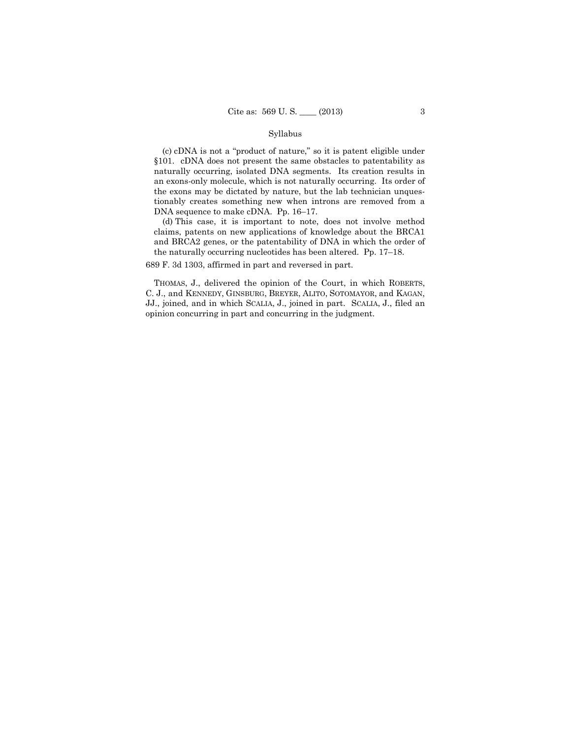#### Syllabus

 $(c)$  cDNA is not a "product of nature," so it is patent eligible under §101. cDNA does not present the same obstacles to patentability as naturally occurring, isolated DNA segments. Its creation results in an exons-only molecule, which is not naturally occurring. Its order of the exons may be dictated by nature, but the lab technician unquestionably creates something new when introns are removed from a DNA sequence to make cDNA. Pp. 16-17.

(d) This case, it is important to note, does not involve method claims, patents on new applications of knowledge about the BRCA1 and BRCA2 genes, or the patentability of DNA in which the order of the naturally occurring nucleotides has been altered. Pp.  $17-18$ .

689 F. 3d 1303, affirmed in part and reversed in part.

 C. J., and KENNEDY, GINSBURG, BREYER, ALITO, SOTOMAYOR, and KAGAN, THOMAS, J., delivered the opinion of the Court, in which ROBERTS, JJ., joined, and in which SCALIA, J., joined in part. SCALIA, J., filed an opinion concurring in part and concurring in the judgment.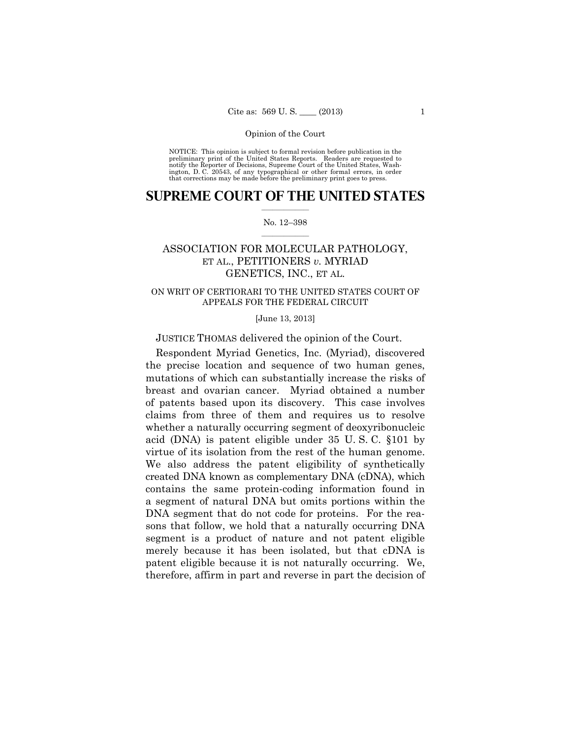preliminary print of the United States Reports. Readers are requested to notify the Reporter of Decisions, Supreme Court of the United States, Wash- ington, D. C. 20543, of any typographical or other formal errors, in order that corrections may be made before the preliminary print goes to press. NOTICE: This opinion is subject to formal revision before publication in the

### $\frac{1}{2}$  , where  $\frac{1}{2}$ SUPREME COURT OF THE UNITED STATES

#### $\frac{1}{2}$  ,  $\frac{1}{2}$  ,  $\frac{1}{2}$  ,  $\frac{1}{2}$  ,  $\frac{1}{2}$  ,  $\frac{1}{2}$ No. 12-398

## ASSOCIATION FOR MOLECULAR PATHOLOGY, ET AL., PETITIONERS *v.* MYRIAD GENETICS, INC., ET AL.

### ON WRIT OF CERTIORARI TO THE UNITED STATES COURT OF APPEALS FOR THE FEDERAL CIRCUIT

[June 13, 2013]

JUSTICE THOMAS delivered the opinion of the Court.

Respondent Myriad Genetics, Inc. (Myriad), discovered the precise location and sequence of two human genes, mutations of which can substantially increase the risks of breast and ovarian cancer. Myriad obtained a number of patents based upon its discovery. This case involves claims from three of them and requires us to resolve whether a naturally occurring segment of deoxyribonucleic acid (DNA) is patent eligible under 35 U. S. C. §101 by virtue of its isolation from the rest of the human genome. We also address the patent eligibility of synthetically created DNA known as complementary DNA (cDNA), which contains the same protein-coding information found in a segment of natural DNA but omits portions within the DNA segment that do not code for proteins. For the reasons that follow, we hold that a naturally occurring DNA segment is a product of nature and not patent eligible merely because it has been isolated, but that cDNA is patent eligible because it is not naturally occurring. We, therefore, affirm in part and reverse in part the decision of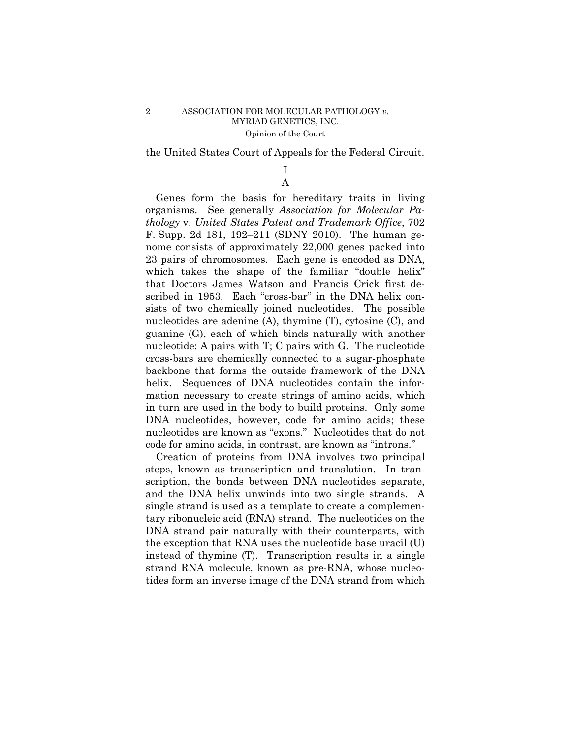the United States Court of Appeals for the Federal Circuit.

### I A

Genes form the basis for hereditary traits in living organisms. See generally *Association for Molecular Pathology* v. *United States Patent and Trademark Office*, 702 F. Supp. 2d  $181, 192-211$  (SDNY 2010). The human genome consists of approximately 22,000 genes packed into 23 pairs of chromosomes. Each gene is encoded as DNA, which takes the shape of the familiar "double helix" that Doctors James Watson and Francis Crick first described in 1953. Each "cross-bar" in the DNA helix consists of two chemically joined nucleotides. The possible nucleotides are adenine (A), thymine (T), cytosine (C), and guanine (G), each of which binds naturally with another nucleotide: A pairs with T; C pairs with G. The nucleotide cross-bars are chemically connected to a sugar-phosphate backbone that forms the outside framework of the DNA helix. Sequences of DNA nucleotides contain the information necessary to create strings of amino acids, which in turn are used in the body to build proteins. Only some DNA nucleotides, however, code for amino acids; these nucleotides are known as "exons." Nucleotides that do not code for amino acids, in contrast, are known as "introns."

Creation of proteins from DNA involves two principal steps, known as transcription and translation. In transcription, the bonds between DNA nucleotides separate, and the DNA helix unwinds into two single strands. A single strand is used as a template to create a complementary ribonucleic acid (RNA) strand. The nucleotides on the DNA strand pair naturally with their counterparts, with the exception that RNA uses the nucleotide base uracil (U) instead of thymine (T). Transcription results in a single strand RNA molecule, known as pre-RNA, whose nucleotides form an inverse image of the DNA strand from which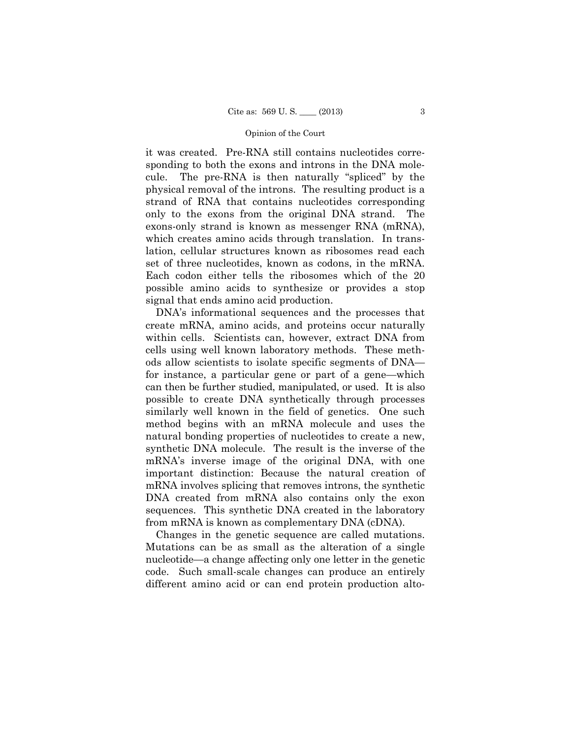it was created. Pre-RNA still contains nucleotides corresponding to both the exons and introns in the DNA molecule. The pre-RNA is then naturally "spliced" by the physical removal of the introns. The resulting product is a strand of RNA that contains nucleotides corresponding only to the exons from the original DNA strand. The exons-only strand is known as messenger RNA (mRNA), which creates amino acids through translation. In translation, cellular structures known as ribosomes read each set of three nucleotides, known as codons, in the mRNA. Each codon either tells the ribosomes which of the 20 possible amino acids to synthesize or provides a stop signal that ends amino acid production.

DNA's informational sequences and the processes that create mRNA, amino acids, and proteins occur naturally within cells. Scientists can, however, extract DNA from cells using well known laboratory methods. These methods allow scientists to isolate specific segments of DNA for instance, a particular gene or part of a gene—which can then be further studied, manipulated, or used. It is also possible to create DNA synthetically through processes similarly well known in the field of genetics. One such method begins with an mRNA molecule and uses the natural bonding properties of nucleotides to create a new, synthetic DNA molecule. The result is the inverse of the mRNA's inverse image of the original DNA, with one important distinction: Because the natural creation of mRNA involves splicing that removes introns, the synthetic DNA created from mRNA also contains only the exon sequences. This synthetic DNA created in the laboratory from mRNA is known as complementary DNA (cDNA).

Changes in the genetic sequence are called mutations. Mutations can be as small as the alteration of a single nucleotide—a change affecting only one letter in the genetic code. Such small-scale changes can produce an entirely different amino acid or can end protein production alto-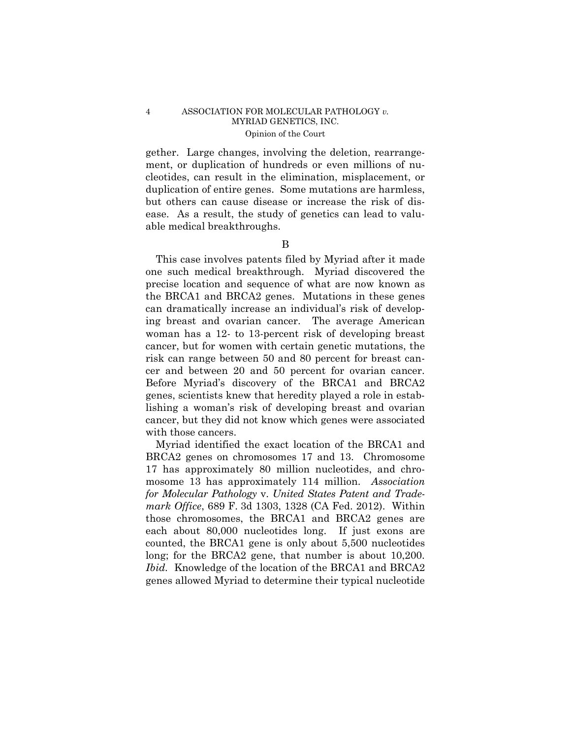gether. Large changes, involving the deletion, rearrangement, or duplication of hundreds or even millions of nucleotides, can result in the elimination, misplacement, or duplication of entire genes. Some mutations are harmless, but others can cause disease or increase the risk of disease. As a result, the study of genetics can lead to valuable medical breakthroughs.

### B

This case involves patents filed by Myriad after it made one such medical breakthrough. Myriad discovered the precise location and sequence of what are now known as the BRCA1 and BRCA2 genes. Mutations in these genes can dramatically increase an individual's risk of developing breast and ovarian cancer. The average American woman has a 12- to 13-percent risk of developing breast cancer, but for women with certain genetic mutations, the risk can range between 50 and 80 percent for breast cancer and between 20 and 50 percent for ovarian cancer. Before Myriad's discovery of the BRCA1 and BRCA2 genes, scientists knew that heredity played a role in establishing a woman's risk of developing breast and ovarian cancer, but they did not know which genes were associated with those cancers.

 mosome 13 has approximately 114 million. *Association*  Myriad identified the exact location of the BRCA1 and BRCA2 genes on chromosomes 17 and 13. Chromosome 17 has approximately 80 million nucleotides, and chro*for Molecular Pathology* v. *United States Patent and Trademark Office*, 689 F. 3d 1303, 1328 (CA Fed. 2012). Within those chromosomes, the BRCA1 and BRCA2 genes are each about 80,000 nucleotides long. If just exons are counted, the BRCA1 gene is only about 5,500 nucleotides long; for the BRCA2 gene, that number is about 10,200. *Ibid.* Knowledge of the location of the BRCA1 and BRCA2 genes allowed Myriad to determine their typical nucleotide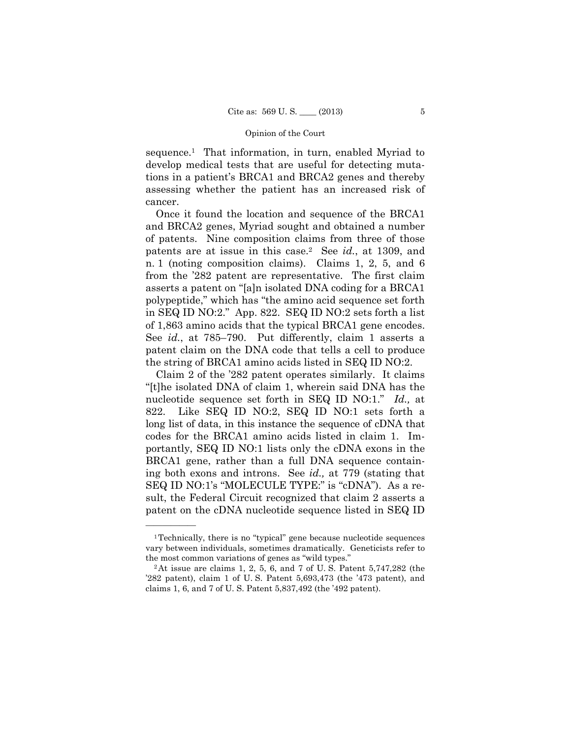sequence.<sup>1</sup> That information, in turn, enabled Myriad to develop medical tests that are useful for detecting mutations in a patient's BRCA1 and BRCA2 genes and thereby assessing whether the patient has an increased risk of cancer.

Once it found the location and sequence of the BRCA1 and BRCA2 genes, Myriad sought and obtained a number of patents. Nine composition claims from three of those patents are at issue in this case.2 See *id.*, at 1309, and n. 1 (noting composition claims). Claims 1, 2, 5, and 6 from the '282 patent are representative. The first claim asserts a patent on "[a]n isolated DNA coding for a BRCA1 polypeptide," which has "the amino acid sequence set forth in SEQ ID NO:2." App. 822. SEQ ID NO:2 sets forth a list of 1,863 amino acids that the typical BRCA1 gene encodes. See *id.*, at 785–790. Put differently, claim 1 asserts a patent claim on the DNA code that tells a cell to produce the string of BRCA1 amino acids listed in SEQ ID NO:2.

 long list of data, in this instance the sequence of cDNA that SEQ ID NO:1's "MOLECULE TYPE:" is "cDNA"). As a re-Claim  $2$  of the  $282$  patent operates similarly. It claims "[t]he isolated DNA of claim 1, wherein said DNA has the nucleotide sequence set forth in SEQ ID NO:1." *Id.*, at 822. Like SEQ ID NO:2, SEQ ID NO:1 sets forth a codes for the BRCA1 amino acids listed in claim 1. Importantly, SEQ ID NO:1 lists only the cDNA exons in the BRCA1 gene, rather than a full DNA sequence containing both exons and introns. See *id.,* at 779 (stating that sult, the Federal Circuit recognized that claim 2 asserts a patent on the cDNA nucleotide sequence listed in SEQ ID

 $1$ Technically, there is no "typical" gene because nucleotide sequences vary between individuals, sometimes dramatically. Geneticists refer to the most common variations of genes as "wild types."<br> $2\text{At issue are claims 1, 2, 5, 6, and 7 of U. S. Patent 5,747,282 (the$ 

<sup>&#</sup>x27;282 patent), claim 1 of U.S. Patent  $5,693,473$  (the '473 patent), and claims 1, 6, and 7 of U.S. Patent  $5,837,492$  (the  $492$  patent).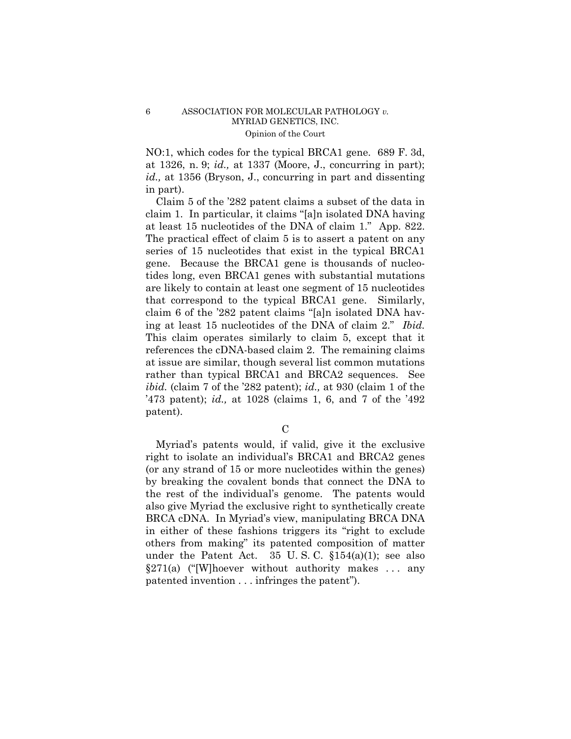NO:1, which codes for the typical BRCA1 gene. 689 F. 3d, at 1326, n. 9; *id.,* at 1337 (Moore, J., concurring in part); *id.,* at 1356 (Bryson, J., concurring in part and dissenting in part).

Claim 5 of the '282 patent claims a subset of the data in claim 1. In particular, it claims "[a]n isolated DNA having at least 15 nucleotides of the DNA of claim 1." App. 822. The practical effect of claim 5 is to assert a patent on any series of 15 nucleotides that exist in the typical BRCA1 gene. Because the BRCA1 gene is thousands of nucleotides long, even BRCA1 genes with substantial mutations are likely to contain at least one segment of 15 nucleotides that correspond to the typical BRCA1 gene. Similarly, claim 6 of the  $282$  patent claims "[a]n isolated DNA having at least 15 nucleotides of the DNA of claim 2." *Ibid.* This claim operates similarly to claim 5, except that it references the cDNA-based claim 2. The remaining claims at issue are similar, though several list common mutations rather than typical BRCA1 and BRCA2 sequences. See *ibid.* (claim 7 of the '282 patent); *id.*, at 930 (claim 1 of the  $'473$  patent); *id.*, at 1028 (claims 1, 6, and 7 of the  $'492$ patent).

C

Myriad's patents would, if valid, give it the exclusive right to isolate an individual's BRCA1 and BRCA2 genes (or any strand of 15 or more nucleotides within the genes) by breaking the covalent bonds that connect the DNA to the rest of the individual's genome. The patents would also give Myriad the exclusive right to synthetically create BRCA cDNA. In Myriad's view, manipulating BRCA DNA in either of these fashions triggers its "right to exclude" others from making" its patented composition of matter under the Patent Act.  $35 \text{ U.S. C. }$   $$154(a)(1);$  see also  $\S 271(a)$  ("Whoever without authority makes ... any patented invention  $\ldots$  infringes the patent".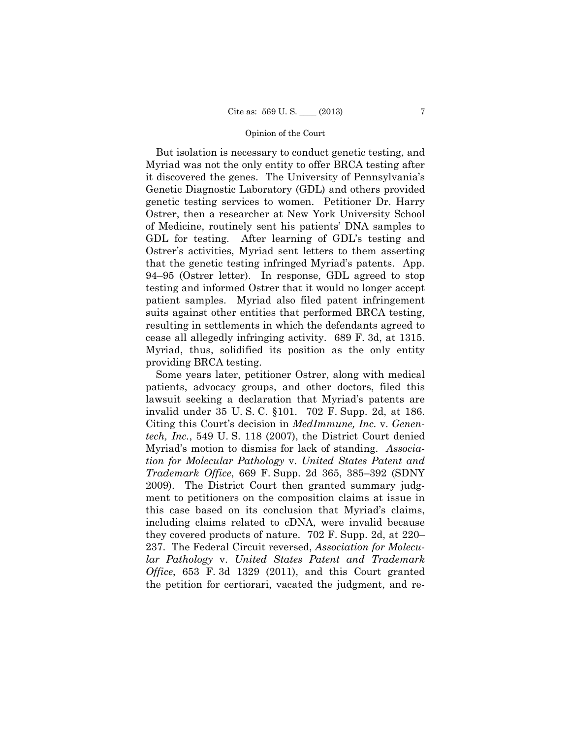But isolation is necessary to conduct genetic testing, and Myriad was not the only entity to offer BRCA testing after it discovered the genes. The University of Pennsylvania's Genetic Diagnostic Laboratory (GDL) and others provided genetic testing services to women. Petitioner Dr. Harry Ostrer, then a researcher at New York University School of Medicine, routinely sent his patients' DNA samples to GDL for testing. After learning of GDL's testing and Ostrer's activities, Myriad sent letters to them asserting that the genetic testing infringed Myriad's patents. App. 94–95 (Ostrer letter). In response, GDL agreed to stop testing and informed Ostrer that it would no longer accept patient samples. Myriad also filed patent infringement suits against other entities that performed BRCA testing, resulting in settlements in which the defendants agreed to cease all allegedly infringing activity. 689 F. 3d, at 1315. Myriad, thus, solidified its position as the only entity providing BRCA testing.

Some years later, petitioner Ostrer, along with medical patients, advocacy groups, and other doctors, filed this lawsuit seeking a declaration that Myriad's patents are invalid under 35 U. S. C. §101. 702 F. Supp. 2d, at 186. Citing this Court's decision in *MedImmune, Inc.* v. *Genentech, Inc.*, 549 U. S. 118 (2007), the District Court denied Myriad's motion to dismiss for lack of standing. *Association for Molecular Pathology* v. *United States Patent and Trademark Office*, 669 F. Supp. 2d 365, 385–392 (SDNY 2009). The District Court then granted summary judgment to petitioners on the composition claims at issue in this case based on its conclusion that Myriad's claims, including claims related to cDNA, were invalid because they covered products of nature.  $702$  F. Supp. 2d, at  $220$ – 237. The Federal Circuit reversed, *Association for Molecular Pathology* v. *United States Patent and Trademark Office*, 653 F. 3d 1329 (2011), and this Court granted the petition for certiorari, vacated the judgment, and re-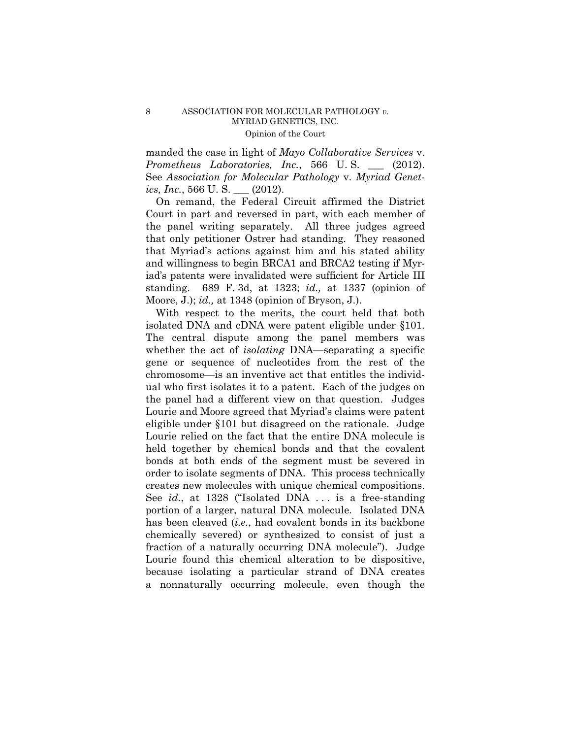manded the case in light of *Mayo Collaborative Services* v. *Prometheus Laboratories, Inc.*, 566 U. S. \_\_\_ (2012). See *Association for Molecular Pathology* v. *Myriad Genetics, Inc.*, 566 U. S.  $\_\_$  (2012).

On remand, the Federal Circuit affirmed the District Court in part and reversed in part, with each member of the panel writing separately. All three judges agreed that only petitioner Ostrer had standing. They reasoned that Myriad's actions against him and his stated ability and willingness to begin BRCA1 and BRCA2 testing if Myriad's patents were invalidated were sufficient for Article III standing. 689 F. 3d, at 1323; *id.,* at 1337 (opinion of Moore, J.); *id.,* at 1348 (opinion of Bryson, J.).

With respect to the merits, the court held that both isolated DNA and cDNA were patent eligible under §101. The central dispute among the panel members was whether the act of *isolating* DNA—separating a specific gene or sequence of nucleotides from the rest of the chromosome—is an inventive act that entitles the individual who first isolates it to a patent. Each of the judges on the panel had a different view on that question. Judges Lourie and Moore agreed that Myriad's claims were patent eligible under §101 but disagreed on the rationale. Judge Lourie relied on the fact that the entire DNA molecule is held together by chemical bonds and that the covalent bonds at both ends of the segment must be severed in order to isolate segments of DNA. This process technically creates new molecules with unique chemical compositions. See *id.*, at  $1328$  ("Isolated DNA ... is a free-standing portion of a larger, natural DNA molecule. Isolated DNA has been cleaved (*i.e.*, had covalent bonds in its backbone chemically severed) or synthesized to consist of just a fraction of a naturally occurring DNA molecule"). Judge Lourie found this chemical alteration to be dispositive, because isolating a particular strand of DNA creates a nonnaturally occurring molecule, even though the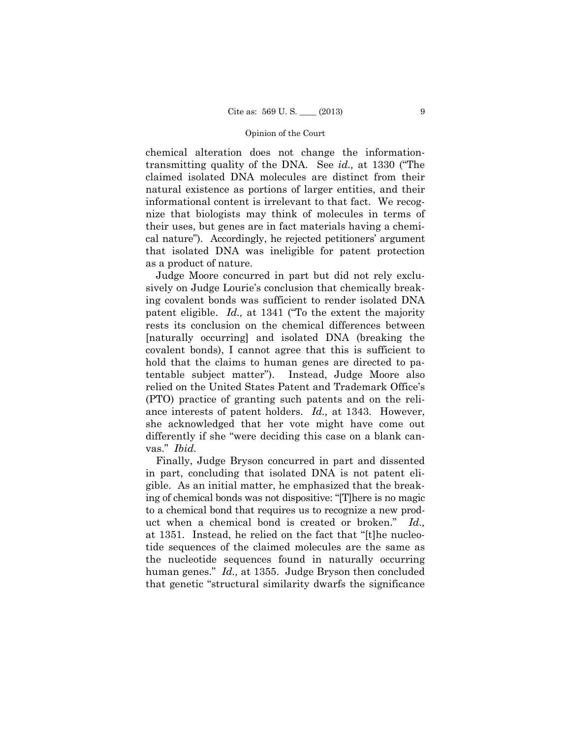chemical alteration does not change the informationtransmitting quality of the DNA. See *id.*, at 1330 ("The claimed isolated DNA molecules are distinct from their natural existence as portions of larger entities, and their informational content is irrelevant to that fact. We recognize that biologists may think of molecules in terms of their uses, but genes are in fact materials having a chemical nature"). Accordingly, he rejected petitioners' argument that isolated DNA was ineligible for patent protection as a product of nature.

Judge Moore concurred in part but did not rely exclusively on Judge Lourie's conclusion that chemically breaking covalent bonds was sufficient to render isolated DNA patent eligible. *Id.*, at 1341 ("To the extent the majority rests its conclusion on the chemical differences between [naturally occurring] and isolated DNA (breaking the covalent bonds), I cannot agree that this is sufficient to hold that the claims to human genes are directed to patentable subject matter"). Instead, Judge Moore also relied on the United States Patent and Trademark Office's (PTO) practice of granting such patents and on the reliance interests of patent holders. *Id.,* at 1343. However, she acknowledged that her vote might have come out differently if she "were deciding this case on a blank canvas." *Ibid.* 

Finally, Judge Bryson concurred in part and dissented in part, concluding that isolated DNA is not patent eligible. As an initial matter, he emphasized that the breaking of chemical bonds was not dispositive: "[T]here is no magic to a chemical bond that requires us to recognize a new product when a chemical bond is created or broken." *Id.*, at  $1351$ . Instead, he relied on the fact that "[t]he nucleotide sequences of the claimed molecules are the same as the nucleotide sequences found in naturally occurring human genes." *Id.*, at 1355. Judge Bryson then concluded that genetic "structural similarity dwarfs the significance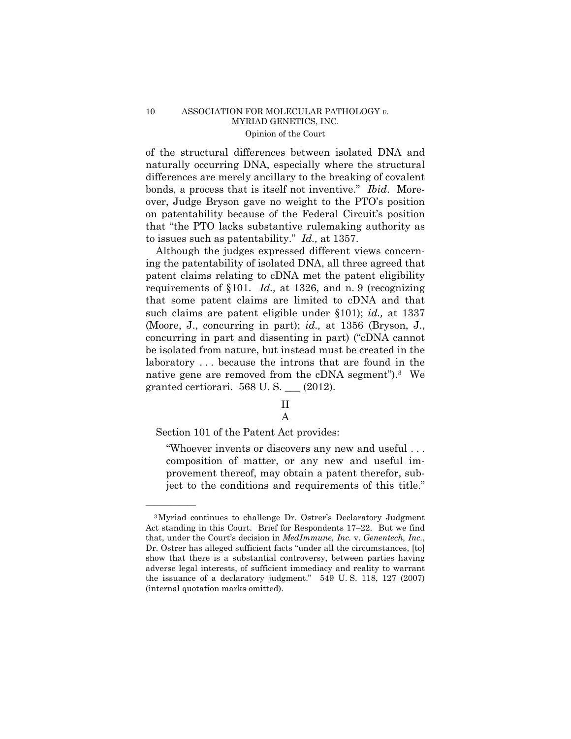of the structural differences between isolated DNA and naturally occurring DNA, especially where the structural differences are merely ancillary to the breaking of covalent bonds, a process that is itself not inventive." *Ibid*. Moreover, Judge Bryson gave no weight to the PTO's position on patentability because of the Federal Circuit's position that "the PTO lacks substantive rulemaking authority as to issues such as patentability." *Id.*, at 1357.

 requirements of §101. *Id.,* at 1326, and n. 9 (recognizing Although the judges expressed different views concerning the patentability of isolated DNA, all three agreed that patent claims relating to cDNA met the patent eligibility that some patent claims are limited to cDNA and that such claims are patent eligible under §101); *id.,* at 1337 (Moore, J., concurring in part); *id.,* at 1356 (Bryson, J., concurring in part and dissenting in part) ("cDNA cannot" be isolated from nature, but instead must be created in the laboratory . . . because the introns that are found in the native gene are removed from the cDNA segment"). $3$  We granted certiorari. 568 U. S. \_\_\_ (2012).

## II

### A

Section 101 of the Patent Act provides:

iiiiii

"Whoever invents or discovers any new and useful ... composition of matter, or any new and useful improvement thereof, may obtain a patent therefor, subject to the conditions and requirements of this title."

<sup>&</sup>lt;sup>3</sup>Myriad continues to challenge Dr. Ostrer's Declaratory Judgment Act standing in this Court. Brief for Respondents 17-22. But we find that, under the Court's decision in *MedImmune, Inc.* v. *Genentech, Inc.*, Dr. Ostrer has alleged sufficient facts "under all the circumstances, [to] show that there is a substantial controversy, between parties having adverse legal interests, of sufficient immediacy and reality to warrant the issuance of a declaratory judgment."  $549$  U. S. 118, 127 (2007) (internal quotation marks omitted).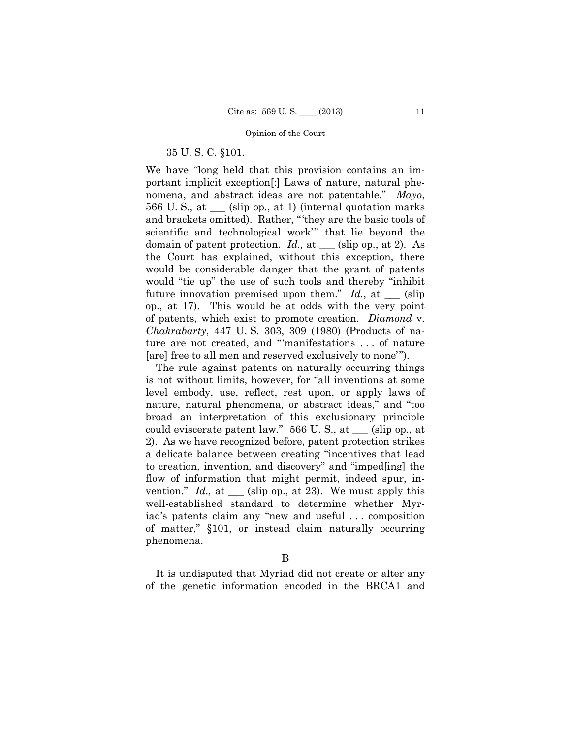### 35 U. S. C. §101.

We have "long held that this provision contains an important implicit exception[:] Laws of nature, natural phenomena, and abstract ideas are not patentable." Mayo, 566 U. S., at \_\_\_ (slip op., at 1) (internal quotation marks and brackets omitted). Rather, "they are the basic tools of scientific and technological work" that lie beyond the domain of patent protection. *Id.,* at \_\_\_ (slip op., at 2). As the Court has explained, without this exception, there would be considerable danger that the grant of patents would "tie up" the use of such tools and thereby "inhibit" future innovation premised upon them.<sup>"</sup> *Id.*, at  $\_\_$  (slip op., at 17). This would be at odds with the very point of patents, which exist to promote creation. *Diamond* v. *Chakrabarty*, 447 U. S. 303, 309 (1980) (Products of nature are not created, and "'manifestations ... of nature [are] free to all men and reserved exclusively to none'").

The rule against patents on naturally occurring things is not without limits, however, for "all inventions at some level embody, use, reflect, rest upon, or apply laws of nature, natural phenomena, or abstract ideas," and "too broad an interpretation of this exclusionary principle could eviscerate patent law."  $566$  U. S., at  $\_\_\_$  (slip op., at 2). As we have recognized before, patent protection strikes a delicate balance between creating "incentives that lead to creation, invention, and discovery" and "imped[ing] the flow of information that might permit, indeed spur, invention."  $Id.$ , at  $\_\_\_$  (slip op., at 23). We must apply this well-established standard to determine whether Myriad's patents claim any "new and useful . . . composition of matter," §101, or instead claim naturally occurring phenomena.

It is undisputed that Myriad did not create or alter any of the genetic information encoded in the BRCA1 and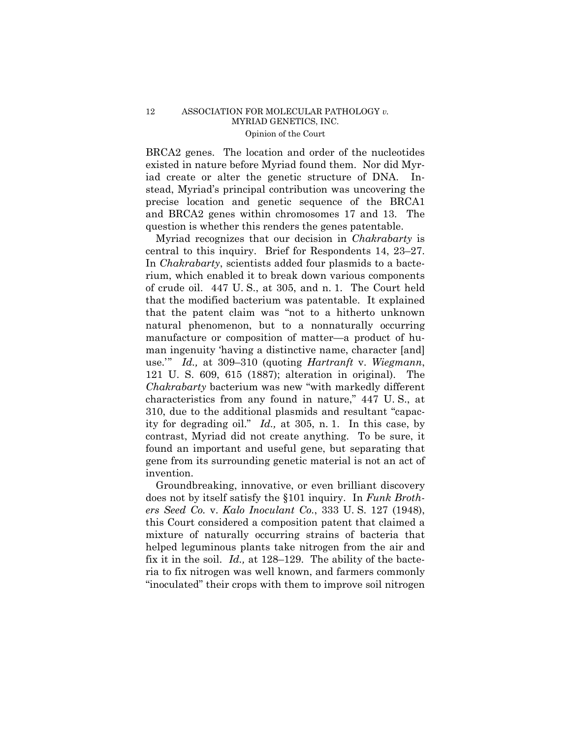BRCA2 genes. The location and order of the nucleotides existed in nature before Myriad found them. Nor did Myriad create or alter the genetic structure of DNA. Instead, Myriad's principal contribution was uncovering the precise location and genetic sequence of the BRCA1 and BRCA2 genes within chromosomes 17 and 13. The question is whether this renders the genes patentable.

Myriad recognizes that our decision in *Chakrabarty* is central to this inquiry. Brief for Respondents  $14$ ,  $23-27$ . In *Chakrabarty*, scientists added four plasmids to a bacterium, which enabled it to break down various components of crude oil. 447 U. S., at 305, and n. 1. The Court held that the modified bacterium was patentable. It explained that the patent claim was "not to a hitherto unknown" natural phenomenon, but to a nonnaturally occurring manufacture or composition of matter—a product of human ingenuity 'having a distinctive name, character [and] use.<sup>"</sup> Id., at 309–310 (quoting *Hartranft* v. *Wiegmann*, 121 U. S. 609, 615 (1887); alteration in original). The *Chakrabarty* bacterium was new "with markedly different characteristics from any found in nature,"  $447$  U. S., at 310, due to the additional plasmids and resultant "capacity for degrading oil." *Id.*, at 305, n. 1. In this case, by contrast, Myriad did not create anything. To be sure, it found an important and useful gene, but separating that gene from its surrounding genetic material is not an act of invention.

fix it in the soil.  $Id.$ , at  $128-129$ . The ability of the bacte- Groundbreaking, innovative, or even brilliant discovery does not by itself satisfy the §101 inquiry. In *Funk Brothers Seed Co.* v. *Kalo Inoculant Co.*, 333 U. S. 127 (1948), this Court considered a composition patent that claimed a mixture of naturally occurring strains of bacteria that helped leguminous plants take nitrogen from the air and ria to fix nitrogen was well known, and farmers commonly "inoculated" their crops with them to improve soil nitrogen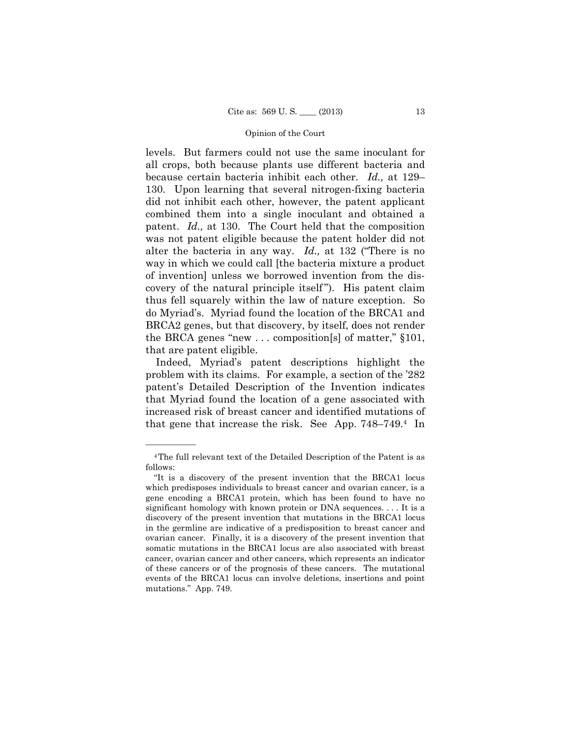levels. But farmers could not use the same inoculant for all crops, both because plants use different bacteria and because certain bacteria inhibit each other. *Id.*, at 129– 130. Upon learning that several nitrogen-fixing bacteria did not inhibit each other, however, the patent applicant combined them into a single inoculant and obtained a patent. *Id.,* at 130. The Court held that the composition was not patent eligible because the patent holder did not alter the bacteria in any way.  $Id.$ , at 132 ("There is no way in which we could call [the bacteria mixture a product of invention] unless we borrowed invention from the discovery of the natural principle itself"). His patent claim thus fell squarely within the law of nature exception. So do Myriad's. Myriad found the location of the BRCA1 and BRCA2 genes, but that discovery, by itself, does not render the BRCA genes "new  $\dots$  composition[s] of matter," §101, that are patent eligible.

Indeed, Myriad's patent descriptions highlight the problem with its claims. For example, a section of the '282 patent's Detailed Description of the Invention indicates that Myriad found the location of a gene associated with increased risk of breast cancer and identified mutations of that gene that increase the risk. See App.  $748-749.4$  In

<sup>4</sup>The full relevant text of the Detailed Description of the Patent is as follows:

 significant homology with known protein or DNA sequences. . . . It is a "It is a discovery of the present invention that the BRCA1 locus which predisposes individuals to breast cancer and ovarian cancer, is a gene encoding a BRCA1 protein, which has been found to have no discovery of the present invention that mutations in the BRCA1 locus in the germline are indicative of a predisposition to breast cancer and ovarian cancer. Finally, it is a discovery of the present invention that somatic mutations in the BRCA1 locus are also associated with breast cancer, ovarian cancer and other cancers, which represents an indicator of these cancers or of the prognosis of these cancers. The mutational events of the BRCA1 locus can involve deletions, insertions and point mutations." App. 749.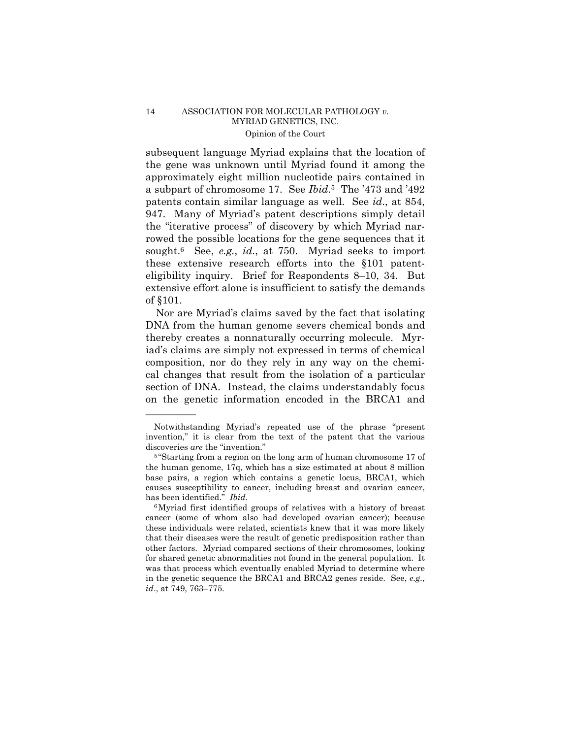subsequent language Myriad explains that the location of the gene was unknown until Myriad found it among the approximately eight million nucleotide pairs contained in a subpart of chromosome 17. See *Ibid*.<sup>5</sup> The '473 and '492 patents contain similar language as well. See *id*., at 854, 947. Many of Myriad's patent descriptions simply detail the "iterative process" of discovery by which Myriad narrowed the possible locations for the gene sequences that it sought.6 See, *e.g.*, *id*., at 750. Myriad seeks to import these extensive research efforts into the §101 patenteligibility inquiry. Brief for Respondents  $8-10$ , 34. But extensive effort alone is insufficient to satisfy the demands of §101.

Nor are Myriad's claims saved by the fact that isolating DNA from the human genome severs chemical bonds and thereby creates a nonnaturally occurring molecule. Myriad's claims are simply not expressed in terms of chemical composition, nor do they rely in any way on the chemical changes that result from the isolation of a particular section of DNA. Instead, the claims understandably focus on the genetic information encoded in the BRCA1 and

Notwithstanding Myriad's repeated use of the phrase "present invention," it is clear from the text of the patent that the various discoveries *are* the "invention."<br><sup>5</sup> "Starting from a region on the long arm of human chromosome 17 of

the human genome, 17q, which has a size estimated at about 8 million base pairs, a region which contains a genetic locus, BRCA1, which causes susceptibility to cancer, including breast and ovarian cancer, has been identified." Ibid.

<sup>6</sup>Myriad first identified groups of relatives with a history of breast cancer (some of whom also had developed ovarian cancer); because these individuals were related, scientists knew that it was more likely that their diseases were the result of genetic predisposition rather than other factors. Myriad compared sections of their chromosomes, looking for shared genetic abnormalities not found in the general population. It was that process which eventually enabled Myriad to determine where in the genetic sequence the BRCA1 and BRCA2 genes reside. See, *e.g.*, *id.*, at 749, 763–775.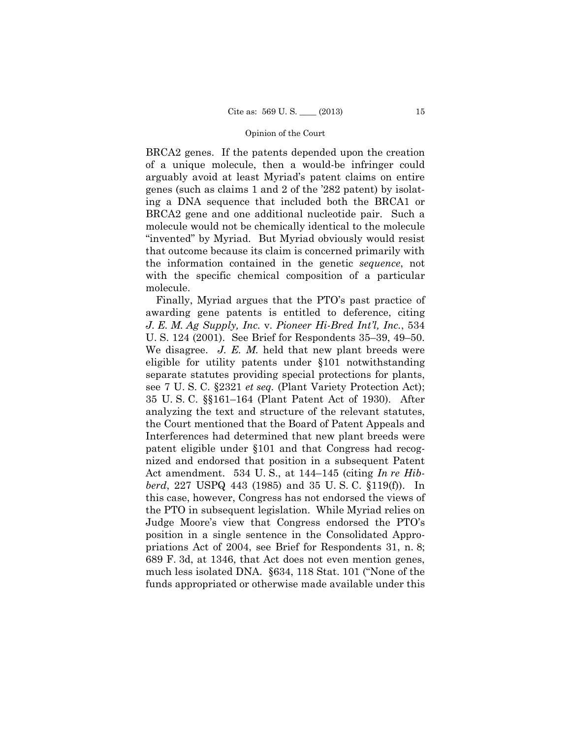BRCA2 genes. If the patents depended upon the creation of a unique molecule, then a would-be infringer could arguably avoid at least Myriad's patent claims on entire genes (such as claims  $1$  and  $2$  of the  $282$  patent) by isolating a DNA sequence that included both the BRCA1 or BRCA2 gene and one additional nucleotide pair. Such a molecule would not be chemically identical to the molecule "invented" by Myriad. But Myriad obviously would resist that outcome because its claim is concerned primarily with the information contained in the genetic *sequence*, not with the specific chemical composition of a particular molecule.

Finally, Myriad argues that the PTO's past practice of awarding gene patents is entitled to deference, citing *J. E. M. Ag Supply, Inc. v. Pioneer Hi-Bred Int'l, Inc., 534* U. S. 124 (2001). See Brief for Respondents 35–39, 49–50. We disagree. *J. E. M.* held that new plant breeds were eligible for utility patents under §101 notwithstanding separate statutes providing special protections for plants, see 7 U. S. C. §2321 *et seq.* (Plant Variety Protection Act); 35 U.S.C. §§161-164 (Plant Patent Act of 1930). After analyzing the text and structure of the relevant statutes, the Court mentioned that the Board of Patent Appeals and Interferences had determined that new plant breeds were patent eligible under §101 and that Congress had recognized and endorsed that position in a subsequent Patent Act amendment. 534 U.S., at 144–145 (citing *In re Hibberd*, 227 USPQ 443 (1985) and 35 U. S. C. §119(f)). In this case, however, Congress has not endorsed the views of the PTO in subsequent legislation. While Myriad relies on Judge Moore's view that Congress endorsed the PTO's position in a single sentence in the Consolidated Appropriations Act of 2004, see Brief for Respondents 31, n. 8; 689 F. 3d, at 1346, that Act does not even mention genes, much less isolated DNA.  $\S 634$ , 118 Stat. 101 ("None of the funds appropriated or otherwise made available under this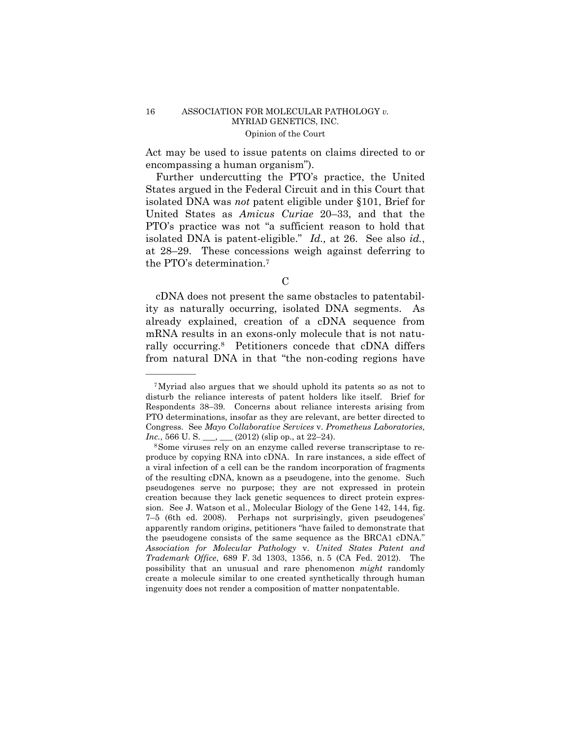Act may be used to issue patents on claims directed to or encompassing a human organism".

isolated DNA is patent-eligible." *Id.*, at 26. See also *id.*, Further undercutting the PTO's practice, the United States argued in the Federal Circuit and in this Court that isolated DNA was *not* patent eligible under §101, Brief for United States as *Amicus Curiae* 20–33, and that the PTO's practice was not "a sufficient reason to hold that at 28–29. These concessions weigh against deferring to the PTO's determination.<sup>7</sup>

cDNA does not present the same obstacles to patentability as naturally occurring, isolated DNA segments. As already explained, creation of a cDNA sequence from mRNA results in an exons-only molecule that is not naturally occurring.8 Petitioners concede that cDNA differs from natural DNA in that "the non-coding regions have

C

Respondents 38-39. Concerns about reliance interests arising from 7Myriad also argues that we should uphold its patents so as not to disturb the reliance interests of patent holders like itself. Brief for PTO determinations, insofar as they are relevant, are better directed to Congress. See *Mayo Collaborative Services* v. *Prometheus Laboratories, Inc.*, 566 U. S. \_\_\_, \_\_\_ (2012) (slip op., at 22–24).

<sup>8</sup>Some viruses rely on an enzyme called reverse transcriptase to reproduce by copying RNA into cDNA. In rare instances, a side effect of a viral infection of a cell can be the random incorporation of fragments of the resulting cDNA, known as a pseudogene, into the genome. Such pseudogenes serve no purpose; they are not expressed in protein creation because they lack genetic sequences to direct protein expression. See J. Watson et al., Molecular Biology of the Gene 142, 144, fig. 7-5 (6th ed. 2008). Perhaps not surprisingly, given pseudogenes' apparently random origins, petitioners "have failed to demonstrate that the pseudogene consists of the same sequence as the BRCA1 cDNA." *Association for Molecular Pathology* v. *United States Patent and Trademark Office*, 689 F. 3d 1303, 1356, n. 5 (CA Fed. 2012). The possibility that an unusual and rare phenomenon *might* randomly create a molecule similar to one created synthetically through human ingenuity does not render a composition of matter nonpatentable.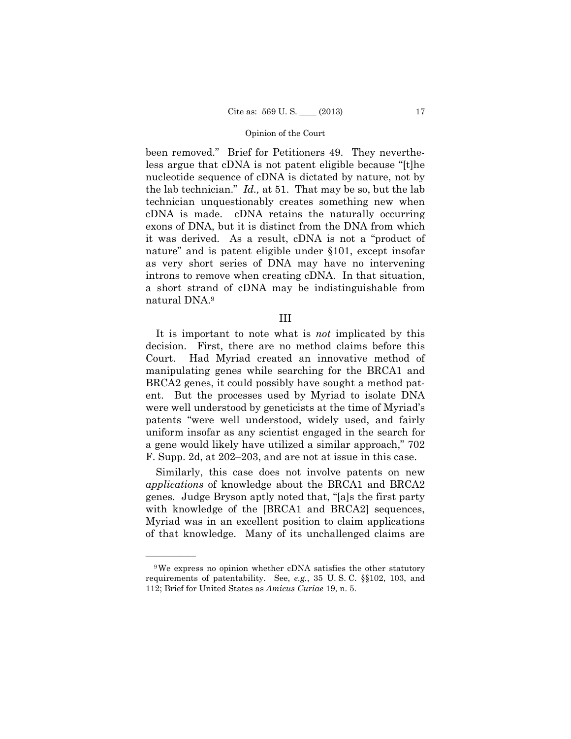been removed." Brief for Petitioners 49. They nevertheless argue that cDNA is not patent eligible because " $[t]$ he nucleotide sequence of cDNA is dictated by nature, not by the lab technician."  $Id.$ , at 51. That may be so, but the lab technician unquestionably creates something new when cDNA is made. cDNA retains the naturally occurring exons of DNA, but it is distinct from the DNA from which it was derived. As a result, cDNA is not a "product of nature" and is patent eligible under  $$101$ , except insofar as very short series of DNA may have no intervening introns to remove when creating cDNA. In that situation, a short strand of cDNA may be indistinguishable from natural DNA.9

### III

It is important to note what is *not* implicated by this decision. First, there are no method claims before this Court. Had Myriad created an innovative method of manipulating genes while searching for the BRCA1 and BRCA2 genes, it could possibly have sought a method patent. But the processes used by Myriad to isolate DNA were well understood by geneticists at the time of Myriad's patents "were well understood, widely used, and fairly uniform insofar as any scientist engaged in the search for a gene would likely have utilized a similar approach," 702 F. Supp. 2d, at  $202-203$ , and are not at issue in this case.

Similarly, this case does not involve patents on new *applications* of knowledge about the BRCA1 and BRCA2 genes. Judge Bryson aptly noted that, "[a]s the first party with knowledge of the [BRCA1 and BRCA2] sequences, Myriad was in an excellent position to claim applications of that knowledge. Many of its unchallenged claims are

<sup>9</sup>We express no opinion whether cDNA satisfies the other statutory requirements of patentability. See, *e.g.*, 35 U. S. C. §§102, 103, and 112; Brief for United States as *Amicus Curiae* 19, n. 5.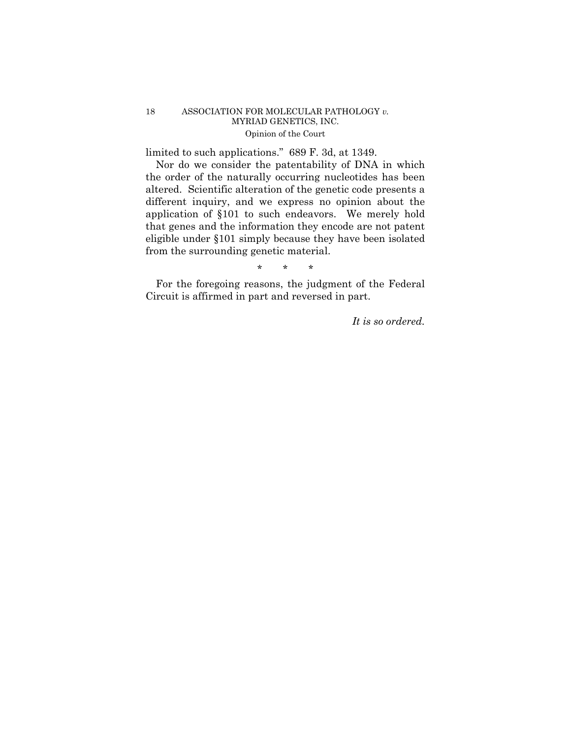limited to such applications."  $689$  F. 3d, at 1349.

Nor do we consider the patentability of DNA in which the order of the naturally occurring nucleotides has been altered. Scientific alteration of the genetic code presents a different inquiry, and we express no opinion about the application of §101 to such endeavors. We merely hold that genes and the information they encode are not patent eligible under §101 simply because they have been isolated from the surrounding genetic material.

\* \* \*

For the foregoing reasons, the judgment of the Federal Circuit is affirmed in part and reversed in part.

*It is so ordered.*